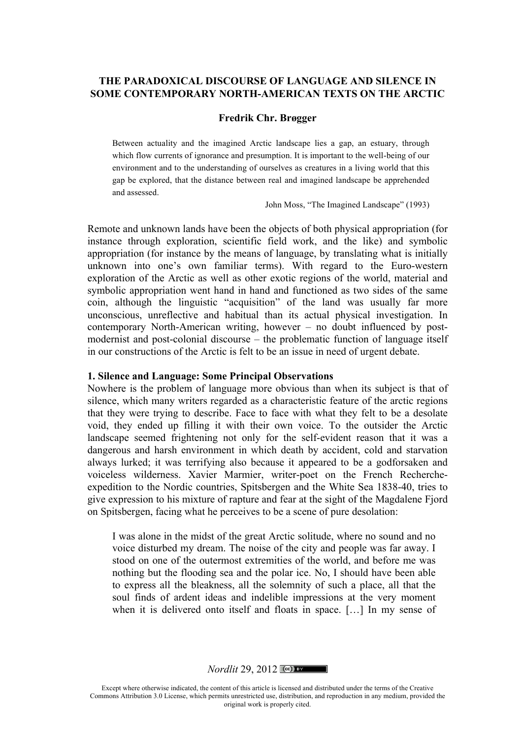## **THE PARADOXICAL DISCOURSE OF LANGUAGE AND SILENCE IN SOME CONTEMPORARY NORTH-AMERICAN TEXTS ON THE ARCTIC**

#### **Fredrik Chr. Brøgger**

Between actuality and the imagined Arctic landscape lies a gap, an estuary, through which flow currents of ignorance and presumption. It is important to the well-being of our environment and to the understanding of ourselves as creatures in a living world that this gap be explored, that the distance between real and imagined landscape be apprehended and assessed.

John Moss, "The Imagined Landscape" (1993)

Remote and unknown lands have been the objects of both physical appropriation (for instance through exploration, scientific field work, and the like) and symbolic appropriation (for instance by the means of language, by translating what is initially unknown into one's own familiar terms). With regard to the Euro-western exploration of the Arctic as well as other exotic regions of the world, material and symbolic appropriation went hand in hand and functioned as two sides of the same coin, although the linguistic "acquisition" of the land was usually far more unconscious, unreflective and habitual than its actual physical investigation. In contemporary North-American writing, however – no doubt influenced by postmodernist and post-colonial discourse – the problematic function of language itself in our constructions of the Arctic is felt to be an issue in need of urgent debate.

#### **1. Silence and Language: Some Principal Observations**

Nowhere is the problem of language more obvious than when its subject is that of silence, which many writers regarded as a characteristic feature of the arctic regions that they were trying to describe. Face to face with what they felt to be a desolate void, they ended up filling it with their own voice. To the outsider the Arctic landscape seemed frightening not only for the self-evident reason that it was a dangerous and harsh environment in which death by accident, cold and starvation always lurked; it was terrifying also because it appeared to be a godforsaken and voiceless wilderness. Xavier Marmier, writer-poet on the French Rechercheexpedition to the Nordic countries, Spitsbergen and the White Sea 1838-40, tries to give expression to his mixture of rapture and fear at the sight of the Magdalene Fjord on Spitsbergen, facing what he perceives to be a scene of pure desolation:

I was alone in the midst of the great Arctic solitude, where no sound and no voice disturbed my dream. The noise of the city and people was far away. I stood on one of the outermost extremities of the world, and before me was nothing but the flooding sea and the polar ice. No, I should have been able to express all the bleakness, all the solemnity of such a place, all that the soul finds of ardent ideas and indelible impressions at the very moment when it is delivered onto itself and floats in space. […] In my sense of

*Nordlit* 29, 2012

Except where otherwise indicated, the content of this article is licensed and distributed under the terms of the Creative Commons Attribution 3.0 License, which permits unrestricted use, distribution, and reproduction in any medium, provided the original work is properly cited.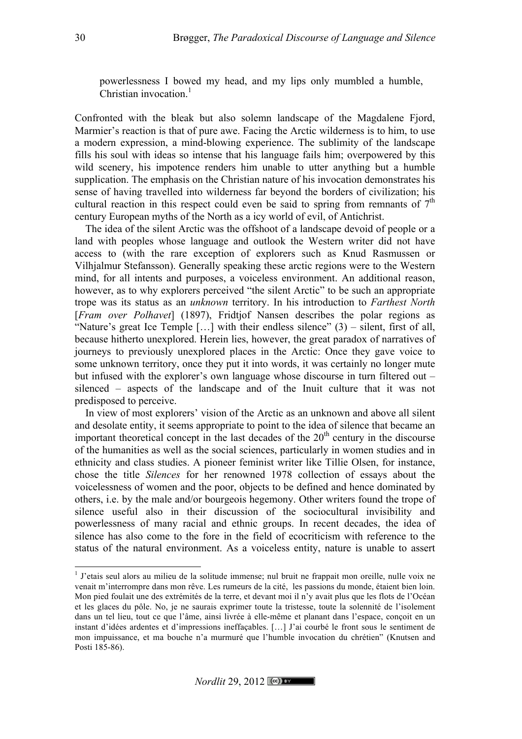powerlessness I bowed my head, and my lips only mumbled a humble, Christian invocation.<sup>1</sup>

Confronted with the bleak but also solemn landscape of the Magdalene Fjord, Marmier's reaction is that of pure awe. Facing the Arctic wilderness is to him, to use a modern expression, a mind-blowing experience. The sublimity of the landscape fills his soul with ideas so intense that his language fails him; overpowered by this wild scenery, his impotence renders him unable to utter anything but a humble supplication. The emphasis on the Christian nature of his invocation demonstrates his sense of having travelled into wilderness far beyond the borders of civilization; his cultural reaction in this respect could even be said to spring from remnants of  $7<sup>th</sup>$ century European myths of the North as a icy world of evil, of Antichrist.

The idea of the silent Arctic was the offshoot of a landscape devoid of people or a land with peoples whose language and outlook the Western writer did not have access to (with the rare exception of explorers such as Knud Rasmussen or Vilhjalmur Stefansson). Generally speaking these arctic regions were to the Western mind, for all intents and purposes, a voiceless environment. An additional reason, however, as to why explorers perceived "the silent Arctic" to be such an appropriate trope was its status as an *unknown* territory. In his introduction to *Farthest North* [*Fram over Polhavet*] (1897), Fridtjof Nansen describes the polar regions as "Nature's great Ice Temple […] with their endless silence" (3) – silent, first of all, because hitherto unexplored. Herein lies, however, the great paradox of narratives of journeys to previously unexplored places in the Arctic: Once they gave voice to some unknown territory, once they put it into words, it was certainly no longer mute but infused with the explorer's own language whose discourse in turn filtered out – silenced – aspects of the landscape and of the Inuit culture that it was not predisposed to perceive.

In view of most explorers' vision of the Arctic as an unknown and above all silent and desolate entity, it seems appropriate to point to the idea of silence that became an important theoretical concept in the last decades of the  $20<sup>th</sup>$  century in the discourse of the humanities as well as the social sciences, particularly in women studies and in ethnicity and class studies. A pioneer feminist writer like Tillie Olsen, for instance, chose the title *Silences* for her renowned 1978 collection of essays about the voicelessness of women and the poor, objects to be defined and hence dominated by others, i.e. by the male and/or bourgeois hegemony. Other writers found the trope of silence useful also in their discussion of the sociocultural invisibility and powerlessness of many racial and ethnic groups. In recent decades, the idea of silence has also come to the fore in the field of ecocriticism with reference to the status of the natural environment. As a voiceless entity, nature is unable to assert

<sup>&</sup>lt;sup>1</sup> J'etais seul alors au milieu de la solitude immense; nul bruit ne frappait mon oreille, nulle voix ne venait m'interrompre dans mon rêve. Les rumeurs de la cité, les passions du monde, étaient bien loin. Mon pied foulait une des extrémités de la terre, et devant moi il n'y avait plus que les flots de l'Océan et les glaces du pôle. No, je ne saurais exprimer toute la tristesse, toute la solennité de l'isolement dans un tel lieu, tout ce que l'âme, ainsi livrée à elle-même et planant dans l'espace, conçoit en un instant d'idées ardentes et d'impressions ineffaçables. […] J'ai courbé le front sous le sentiment de mon impuissance, et ma bouche n'a murmuré que l'humble invocation du chrétien" (Knutsen and Posti 185-86).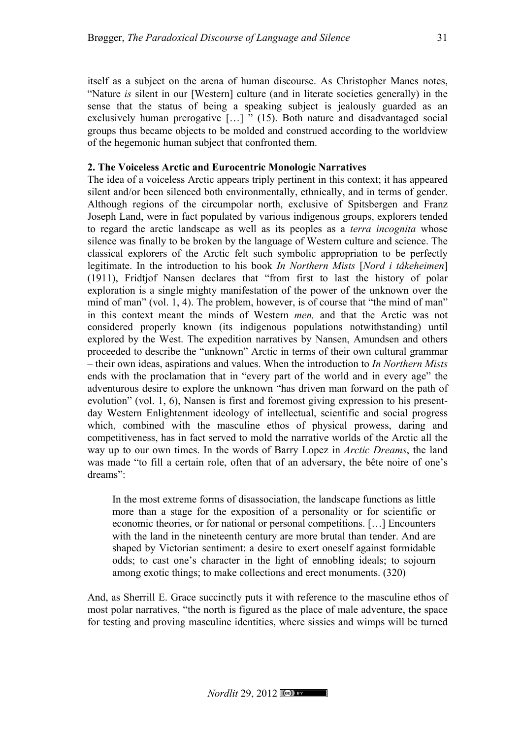itself as a subject on the arena of human discourse. As Christopher Manes notes, "Nature *is* silent in our [Western] culture (and in literate societies generally) in the sense that the status of being a speaking subject is jealously guarded as an exclusively human prerogative  $\left[ \ldots \right]$  " (15). Both nature and disadvantaged social groups thus became objects to be molded and construed according to the worldview of the hegemonic human subject that confronted them.

## **2. The Voiceless Arctic and Eurocentric Monologic Narratives**

The idea of a voiceless Arctic appears triply pertinent in this context; it has appeared silent and/or been silenced both environmentally, ethnically, and in terms of gender. Although regions of the circumpolar north, exclusive of Spitsbergen and Franz Joseph Land, were in fact populated by various indigenous groups, explorers tended to regard the arctic landscape as well as its peoples as a *terra incognita* whose silence was finally to be broken by the language of Western culture and science. The classical explorers of the Arctic felt such symbolic appropriation to be perfectly legitimate. In the introduction to his book *In Northern Mists* [*Nord i tåkeheimen*] (1911), Fridtjof Nansen declares that "from first to last the history of polar exploration is a single mighty manifestation of the power of the unknown over the mind of man" (vol. 1, 4). The problem, however, is of course that "the mind of man" in this context meant the minds of Western *men,* and that the Arctic was not considered properly known (its indigenous populations notwithstanding) until explored by the West. The expedition narratives by Nansen, Amundsen and others proceeded to describe the "unknown" Arctic in terms of their own cultural grammar – their own ideas, aspirations and values. When the introduction to *In Northern Mists* ends with the proclamation that in "every part of the world and in every age" the adventurous desire to explore the unknown "has driven man forward on the path of evolution" (vol. 1, 6), Nansen is first and foremost giving expression to his presentday Western Enlightenment ideology of intellectual, scientific and social progress which, combined with the masculine ethos of physical prowess, daring and competitiveness, has in fact served to mold the narrative worlds of the Arctic all the way up to our own times. In the words of Barry Lopez in *Arctic Dreams*, the land was made "to fill a certain role, often that of an adversary, the bête noire of one's dreams":

In the most extreme forms of disassociation, the landscape functions as little more than a stage for the exposition of a personality or for scientific or economic theories, or for national or personal competitions. […] Encounters with the land in the nineteenth century are more brutal than tender. And are shaped by Victorian sentiment: a desire to exert oneself against formidable odds; to cast one's character in the light of ennobling ideals; to sojourn among exotic things; to make collections and erect monuments. (320)

And, as Sherrill E. Grace succinctly puts it with reference to the masculine ethos of most polar narratives, "the north is figured as the place of male adventure, the space for testing and proving masculine identities, where sissies and wimps will be turned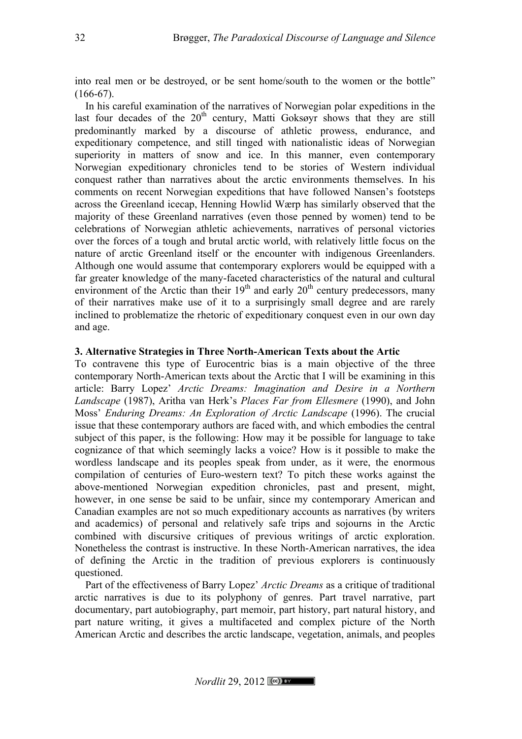into real men or be destroyed, or be sent home/south to the women or the bottle"  $(166-67)$ .

In his careful examination of the narratives of Norwegian polar expeditions in the last four decades of the  $20<sup>th</sup>$  century, Matti Goksøyr shows that they are still predominantly marked by a discourse of athletic prowess, endurance, and expeditionary competence, and still tinged with nationalistic ideas of Norwegian superiority in matters of snow and ice. In this manner, even contemporary Norwegian expeditionary chronicles tend to be stories of Western individual conquest rather than narratives about the arctic environments themselves. In his comments on recent Norwegian expeditions that have followed Nansen's footsteps across the Greenland icecap, Henning Howlid Wærp has similarly observed that the majority of these Greenland narratives (even those penned by women) tend to be celebrations of Norwegian athletic achievements, narratives of personal victories over the forces of a tough and brutal arctic world, with relatively little focus on the nature of arctic Greenland itself or the encounter with indigenous Greenlanders. Although one would assume that contemporary explorers would be equipped with a far greater knowledge of the many-faceted characteristics of the natural and cultural environment of the Arctic than their  $19<sup>th</sup>$  and early  $20<sup>th</sup>$  century predecessors, many of their narratives make use of it to a surprisingly small degree and are rarely inclined to problematize the rhetoric of expeditionary conquest even in our own day and age.

# **3. Alternative Strategies in Three North-American Texts about the Artic**

To contravene this type of Eurocentric bias is a main objective of the three contemporary North-American texts about the Arctic that I will be examining in this article: Barry Lopez' *Arctic Dreams: Imagination and Desire in a Northern Landscape* (1987), Aritha van Herk's *Places Far from Ellesmere* (1990), and John Moss' *Enduring Dreams: An Exploration of Arctic Landscape* (1996). The crucial issue that these contemporary authors are faced with, and which embodies the central subject of this paper, is the following: How may it be possible for language to take cognizance of that which seemingly lacks a voice? How is it possible to make the wordless landscape and its peoples speak from under, as it were, the enormous compilation of centuries of Euro-western text? To pitch these works against the above-mentioned Norwegian expedition chronicles, past and present, might, however, in one sense be said to be unfair, since my contemporary American and Canadian examples are not so much expeditionary accounts as narratives (by writers and academics) of personal and relatively safe trips and sojourns in the Arctic combined with discursive critiques of previous writings of arctic exploration. Nonetheless the contrast is instructive. In these North-American narratives, the idea of defining the Arctic in the tradition of previous explorers is continuously questioned.

Part of the effectiveness of Barry Lopez' *Arctic Dreams* as a critique of traditional arctic narratives is due to its polyphony of genres. Part travel narrative, part documentary, part autobiography, part memoir, part history, part natural history, and part nature writing, it gives a multifaceted and complex picture of the North American Arctic and describes the arctic landscape, vegetation, animals, and peoples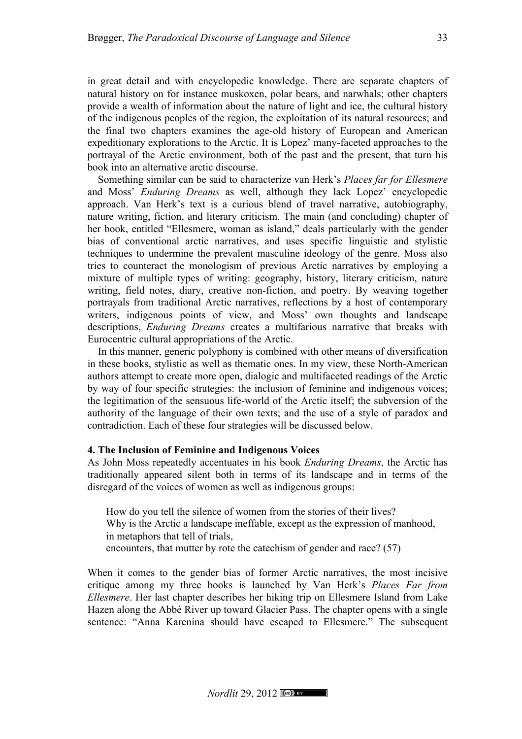in great detail and with encyclopedic knowledge. There are separate chapters of natural history on for instance muskoxen, polar bears, and narwhals; other chapters provide a wealth of information about the nature of light and ice, the cultural history of the indigenous peoples of the region, the exploitation of its natural resources; and the final two chapters examines the age-old history of European and American expeditionary explorations to the Arctic. It is Lopez' many-faceted approaches to the portrayal of the Arctic environment, both of the past and the present, that turn his book into an alternative arctic discourse.

Something similar can be said to characterize van Herk's *Places far for Ellesmere* and Moss' *Enduring Dreams* as well, although they lack Lopez' encyclopedic approach. Van Herk's text is a curious blend of travel narrative, autobiography, nature writing, fiction, and literary criticism. The main (and concluding) chapter of her book, entitled "Ellesmere, woman as island," deals particularly with the gender bias of conventional arctic narratives, and uses specific linguistic and stylistic techniques to undermine the prevalent masculine ideology of the genre. Moss also tries to counteract the monologism of previous Arctic narratives by employing a mixture of multiple types of writing: geography, history, literary criticism, nature writing, field notes, diary, creative non-fiction, and poetry. By weaving together portrayals from traditional Arctic narratives, reflections by a host of contemporary writers, indigenous points of view, and Moss' own thoughts and landscape descriptions, *Enduring Dreams* creates a multifarious narrative that breaks with Eurocentric cultural appropriations of the Arctic.

In this manner, generic polyphony is combined with other means of diversification in these books, stylistic as well as thematic ones. In my view, these North-American authors attempt to create more open, dialogic and multifaceted readings of the Arctic by way of four specific strategies: the inclusion of feminine and indigenous voices; the legitimation of the sensuous life-world of the Arctic itself; the subversion of the authority of the language of their own texts; and the use of a style of paradox and contradiction. Each of these four strategies will be discussed below.

#### **4. The Inclusion of Feminine and Indigenous Voices**

As John Moss repeatedly accentuates in his book *Enduring Dreams*, the Arctic has traditionally appeared silent both in terms of its landscape and in terms of the disregard of the voices of women as well as indigenous groups:

How do you tell the silence of women from the stories of their lives? Why is the Arctic a landscape ineffable, except as the expression of manhood, in metaphors that tell of trials, encounters, that mutter by rote the catechism of gender and race? (57)

When it comes to the gender bias of former Arctic narratives, the most incisive critique among my three books is launched by Van Herk's *Places Far from Ellesmere*. Her last chapter describes her hiking trip on Ellesmere Island from Lake Hazen along the Abbé River up toward Glacier Pass. The chapter opens with a single sentence: "Anna Karenina should have escaped to Ellesmere." The subsequent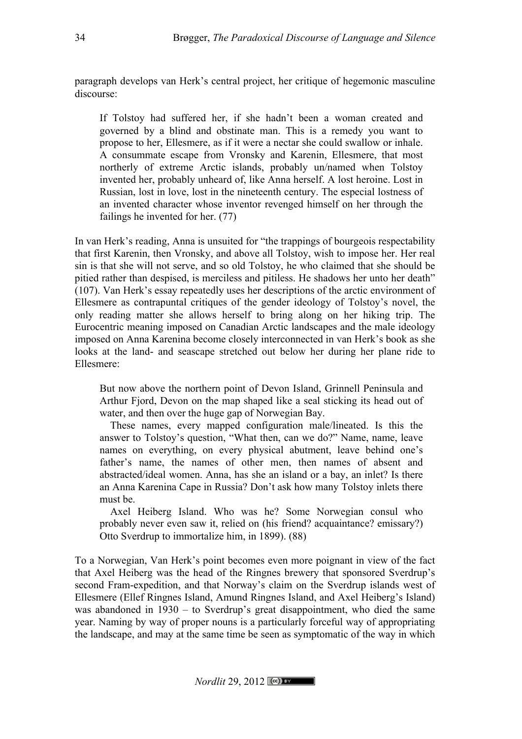paragraph develops van Herk's central project, her critique of hegemonic masculine discourse:

If Tolstoy had suffered her, if she hadn't been a woman created and governed by a blind and obstinate man. This is a remedy you want to propose to her, Ellesmere, as if it were a nectar she could swallow or inhale. A consummate escape from Vronsky and Karenin, Ellesmere, that most northerly of extreme Arctic islands, probably un/named when Tolstoy invented her, probably unheard of, like Anna herself. A lost heroine. Lost in Russian, lost in love, lost in the nineteenth century. The especial lostness of an invented character whose inventor revenged himself on her through the failings he invented for her. (77)

In van Herk's reading, Anna is unsuited for "the trappings of bourgeois respectability that first Karenin, then Vronsky, and above all Tolstoy, wish to impose her. Her real sin is that she will not serve, and so old Tolstoy, he who claimed that she should be pitied rather than despised, is merciless and pitiless. He shadows her unto her death" (107). Van Herk's essay repeatedly uses her descriptions of the arctic environment of Ellesmere as contrapuntal critiques of the gender ideology of Tolstoy's novel, the only reading matter she allows herself to bring along on her hiking trip. The Eurocentric meaning imposed on Canadian Arctic landscapes and the male ideology imposed on Anna Karenina become closely interconnected in van Herk's book as she looks at the land- and seascape stretched out below her during her plane ride to Ellesmere:

But now above the northern point of Devon Island, Grinnell Peninsula and Arthur Fjord, Devon on the map shaped like a seal sticking its head out of water, and then over the huge gap of Norwegian Bay.

These names, every mapped configuration male/lineated. Is this the answer to Tolstoy's question, "What then, can we do?" Name, name, leave names on everything, on every physical abutment, leave behind one's father's name, the names of other men, then names of absent and abstracted/ideal women. Anna, has she an island or a bay, an inlet? Is there an Anna Karenina Cape in Russia? Don't ask how many Tolstoy inlets there must be.

Axel Heiberg Island. Who was he? Some Norwegian consul who probably never even saw it, relied on (his friend? acquaintance? emissary?) Otto Sverdrup to immortalize him, in 1899). (88)

To a Norwegian, Van Herk's point becomes even more poignant in view of the fact that Axel Heiberg was the head of the Ringnes brewery that sponsored Sverdrup's second Fram-expedition, and that Norway's claim on the Sverdrup islands west of Ellesmere (Ellef Ringnes Island, Amund Ringnes Island, and Axel Heiberg's Island) was abandoned in 1930 – to Sverdrup's great disappointment, who died the same year. Naming by way of proper nouns is a particularly forceful way of appropriating the landscape, and may at the same time be seen as symptomatic of the way in which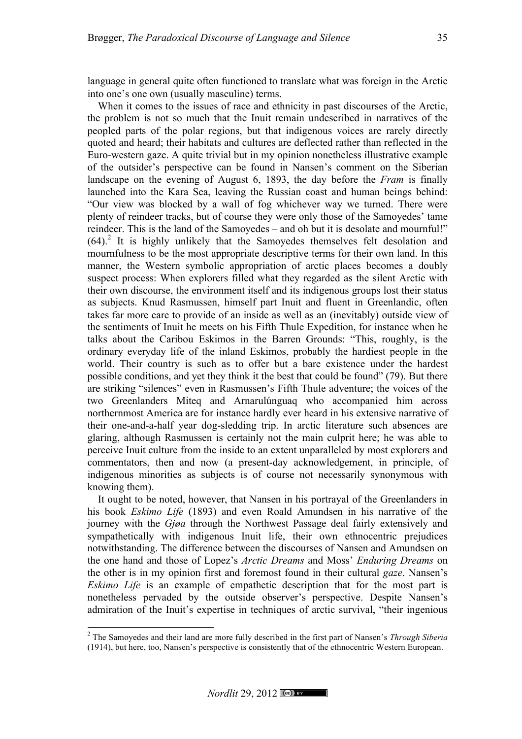language in general quite often functioned to translate what was foreign in the Arctic into one's one own (usually masculine) terms.

When it comes to the issues of race and ethnicity in past discourses of the Arctic, the problem is not so much that the Inuit remain undescribed in narratives of the peopled parts of the polar regions, but that indigenous voices are rarely directly quoted and heard; their habitats and cultures are deflected rather than reflected in the Euro-western gaze. A quite trivial but in my opinion nonetheless illustrative example of the outsider's perspective can be found in Nansen's comment on the Siberian landscape on the evening of August 6, 1893, the day before the *Fram* is finally launched into the Kara Sea, leaving the Russian coast and human beings behind: "Our view was blocked by a wall of fog whichever way we turned. There were plenty of reindeer tracks, but of course they were only those of the Samoyedes' tame reindeer. This is the land of the Samoyedes – and oh but it is desolate and mournful!"  $(64)$ <sup>2</sup>. It is highly unlikely that the Samoyedes themselves felt desolation and mournfulness to be the most appropriate descriptive terms for their own land. In this manner, the Western symbolic appropriation of arctic places becomes a doubly suspect process: When explorers filled what they regarded as the silent Arctic with their own discourse, the environment itself and its indigenous groups lost their status as subjects. Knud Rasmussen, himself part Inuit and fluent in Greenlandic, often takes far more care to provide of an inside as well as an (inevitably) outside view of the sentiments of Inuit he meets on his Fifth Thule Expedition, for instance when he talks about the Caribou Eskimos in the Barren Grounds: "This, roughly, is the ordinary everyday life of the inland Eskimos, probably the hardiest people in the world. Their country is such as to offer but a bare existence under the hardest possible conditions, and yet they think it the best that could be found" (79). But there are striking "silences" even in Rasmussen's Fifth Thule adventure; the voices of the two Greenlanders Miteq and Arnarulúnguaq who accompanied him across northernmost America are for instance hardly ever heard in his extensive narrative of their one-and-a-half year dog-sledding trip. In arctic literature such absences are glaring, although Rasmussen is certainly not the main culprit here; he was able to perceive Inuit culture from the inside to an extent unparalleled by most explorers and commentators, then and now (a present-day acknowledgement, in principle, of indigenous minorities as subjects is of course not necessarily synonymous with knowing them).

It ought to be noted, however, that Nansen in his portrayal of the Greenlanders in his book *Eskimo Life* (1893) and even Roald Amundsen in his narrative of the journey with the *Gjøa* through the Northwest Passage deal fairly extensively and sympathetically with indigenous Inuit life, their own ethnocentric prejudices notwithstanding. The difference between the discourses of Nansen and Amundsen on the one hand and those of Lopez's *Arctic Dreams* and Moss' *Enduring Dreams* on the other is in my opinion first and foremost found in their cultural *gaze*. Nansen's *Eskimo Life* is an example of empathetic description that for the most part is nonetheless pervaded by the outside observer's perspective. Despite Nansen's admiration of the Inuit's expertise in techniques of arctic survival, "their ingenious

<sup>&</sup>lt;sup>2</sup> The Samoyedes and their land are more fully described in the first part of Nansen's *Through Siberia* (1914), but here, too, Nansen's perspective is consistently that of the ethnocentric Western European.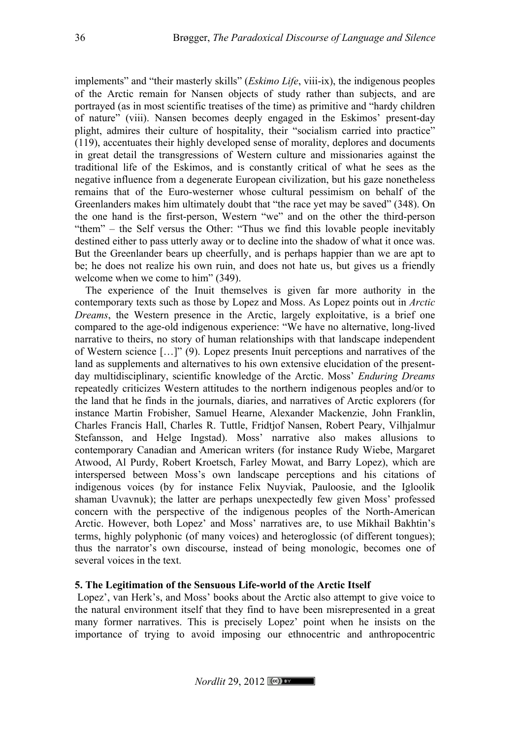implements" and "their masterly skills" (*Eskimo Life*, viii-ix), the indigenous peoples of the Arctic remain for Nansen objects of study rather than subjects, and are portrayed (as in most scientific treatises of the time) as primitive and "hardy children of nature" (viii). Nansen becomes deeply engaged in the Eskimos' present-day plight, admires their culture of hospitality, their "socialism carried into practice" (119), accentuates their highly developed sense of morality, deplores and documents in great detail the transgressions of Western culture and missionaries against the traditional life of the Eskimos, and is constantly critical of what he sees as the negative influence from a degenerate European civilization, but his gaze nonetheless remains that of the Euro-westerner whose cultural pessimism on behalf of the Greenlanders makes him ultimately doubt that "the race yet may be saved" (348). On the one hand is the first-person, Western "we" and on the other the third-person "them" – the Self versus the Other: "Thus we find this lovable people inevitably destined either to pass utterly away or to decline into the shadow of what it once was. But the Greenlander bears up cheerfully, and is perhaps happier than we are apt to be; he does not realize his own ruin, and does not hate us, but gives us a friendly welcome when we come to him" (349).

The experience of the Inuit themselves is given far more authority in the contemporary texts such as those by Lopez and Moss. As Lopez points out in *Arctic Dreams*, the Western presence in the Arctic, largely exploitative, is a brief one compared to the age-old indigenous experience: "We have no alternative, long-lived narrative to theirs, no story of human relationships with that landscape independent of Western science […]" (9). Lopez presents Inuit perceptions and narratives of the land as supplements and alternatives to his own extensive elucidation of the presentday multidisciplinary, scientific knowledge of the Arctic. Moss' *Enduring Dreams* repeatedly criticizes Western attitudes to the northern indigenous peoples and/or to the land that he finds in the journals, diaries, and narratives of Arctic explorers (for instance Martin Frobisher, Samuel Hearne, Alexander Mackenzie, John Franklin, Charles Francis Hall, Charles R. Tuttle, Fridtjof Nansen, Robert Peary, Vilhjalmur Stefansson, and Helge Ingstad). Moss' narrative also makes allusions to contemporary Canadian and American writers (for instance Rudy Wiebe, Margaret Atwood, Al Purdy, Robert Kroetsch, Farley Mowat, and Barry Lopez), which are interspersed between Moss's own landscape perceptions and his citations of indigenous voices (by for instance Felix Nuyviak, Pauloosie, and the Igloolik shaman Uvavnuk); the latter are perhaps unexpectedly few given Moss' professed concern with the perspective of the indigenous peoples of the North-American Arctic. However, both Lopez' and Moss' narratives are, to use Mikhail Bakhtin's terms, highly polyphonic (of many voices) and heteroglossic (of different tongues); thus the narrator's own discourse, instead of being monologic, becomes one of several voices in the text.

### **5. The Legitimation of the Sensuous Life-world of the Arctic Itself**

Lopez', van Herk's, and Moss' books about the Arctic also attempt to give voice to the natural environment itself that they find to have been misrepresented in a great many former narratives. This is precisely Lopez' point when he insists on the importance of trying to avoid imposing our ethnocentric and anthropocentric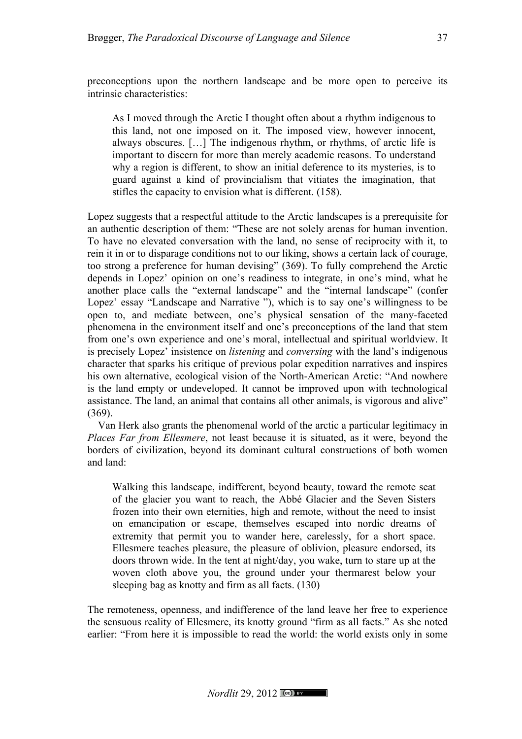preconceptions upon the northern landscape and be more open to perceive its intrinsic characteristics:

As I moved through the Arctic I thought often about a rhythm indigenous to this land, not one imposed on it. The imposed view, however innocent, always obscures. […] The indigenous rhythm, or rhythms, of arctic life is important to discern for more than merely academic reasons. To understand why a region is different, to show an initial deference to its mysteries, is to guard against a kind of provincialism that vitiates the imagination, that stifles the capacity to envision what is different. (158).

Lopez suggests that a respectful attitude to the Arctic landscapes is a prerequisite for an authentic description of them: "These are not solely arenas for human invention. To have no elevated conversation with the land, no sense of reciprocity with it, to rein it in or to disparage conditions not to our liking, shows a certain lack of courage, too strong a preference for human devising" (369). To fully comprehend the Arctic depends in Lopez' opinion on one's readiness to integrate, in one's mind, what he another place calls the "external landscape" and the "internal landscape" (confer Lopez' essay "Landscape and Narrative "), which is to say one's willingness to be open to, and mediate between, one's physical sensation of the many-faceted phenomena in the environment itself and one's preconceptions of the land that stem from one's own experience and one's moral, intellectual and spiritual worldview. It is precisely Lopez' insistence on *listening* and *conversing* with the land's indigenous character that sparks his critique of previous polar expedition narratives and inspires his own alternative, ecological vision of the North-American Arctic: "And nowhere is the land empty or undeveloped. It cannot be improved upon with technological assistance. The land, an animal that contains all other animals, is vigorous and alive" (369).

Van Herk also grants the phenomenal world of the arctic a particular legitimacy in *Places Far from Ellesmere*, not least because it is situated, as it were, beyond the borders of civilization, beyond its dominant cultural constructions of both women and land:

Walking this landscape, indifferent, beyond beauty, toward the remote seat of the glacier you want to reach, the Abbé Glacier and the Seven Sisters frozen into their own eternities, high and remote, without the need to insist on emancipation or escape, themselves escaped into nordic dreams of extremity that permit you to wander here, carelessly, for a short space. Ellesmere teaches pleasure, the pleasure of oblivion, pleasure endorsed, its doors thrown wide. In the tent at night/day, you wake, turn to stare up at the woven cloth above you, the ground under your thermarest below your sleeping bag as knotty and firm as all facts. (130)

The remoteness, openness, and indifference of the land leave her free to experience the sensuous reality of Ellesmere, its knotty ground "firm as all facts." As she noted earlier: "From here it is impossible to read the world: the world exists only in some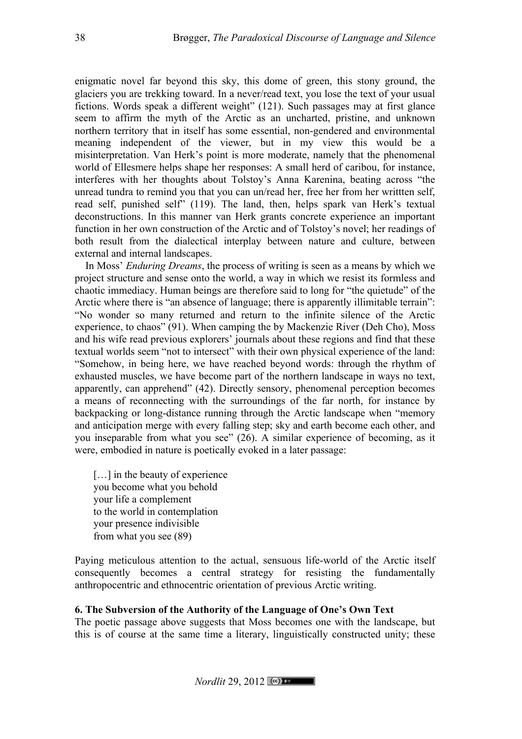enigmatic novel far beyond this sky, this dome of green, this stony ground, the glaciers you are trekking toward. In a never/read text, you lose the text of your usual fictions. Words speak a different weight" (121). Such passages may at first glance seem to affirm the myth of the Arctic as an uncharted, pristine, and unknown northern territory that in itself has some essential, non-gendered and environmental meaning independent of the viewer, but in my view this would be a misinterpretation. Van Herk's point is more moderate, namely that the phenomenal world of Ellesmere helps shape her responses: A small herd of caribou, for instance, interferes with her thoughts about Tolstoy's Anna Karenina, beating across "the unread tundra to remind you that you can un/read her, free her from her writtten self, read self, punished self" (119). The land, then, helps spark van Herk's textual deconstructions. In this manner van Herk grants concrete experience an important function in her own construction of the Arctic and of Tolstoy's novel; her readings of both result from the dialectical interplay between nature and culture, between external and internal landscapes.

In Moss' *Enduring Dreams*, the process of writing is seen as a means by which we project structure and sense onto the world, a way in which we resist its formless and chaotic immediacy. Human beings are therefore said to long for "the quietude" of the Arctic where there is "an absence of language; there is apparently illimitable terrain": "No wonder so many returned and return to the infinite silence of the Arctic experience, to chaos" (91). When camping the by Mackenzie River (Deh Cho), Moss and his wife read previous explorers' journals about these regions and find that these textual worlds seem "not to intersect" with their own physical experience of the land: "Somehow, in being here, we have reached beyond words: through the rhythm of exhausted muscles, we have become part of the northern landscape in ways no text, apparently, can apprehend" (42). Directly sensory, phenomenal perception becomes a means of reconnecting with the surroundings of the far north, for instance by backpacking or long-distance running through the Arctic landscape when "memory and anticipation merge with every falling step; sky and earth become each other, and you inseparable from what you see" (26). A similar experience of becoming, as it were, embodied in nature is poetically evoked in a later passage:

[...] in the beauty of experience you become what you behold your life a complement to the world in contemplation your presence indivisible from what you see (89)

Paying meticulous attention to the actual, sensuous life-world of the Arctic itself consequently becomes a central strategy for resisting the fundamentally anthropocentric and ethnocentric orientation of previous Arctic writing.

### **6. The Subversion of the Authority of the Language of One's Own Text**

The poetic passage above suggests that Moss becomes one with the landscape, but this is of course at the same time a literary, linguistically constructed unity; these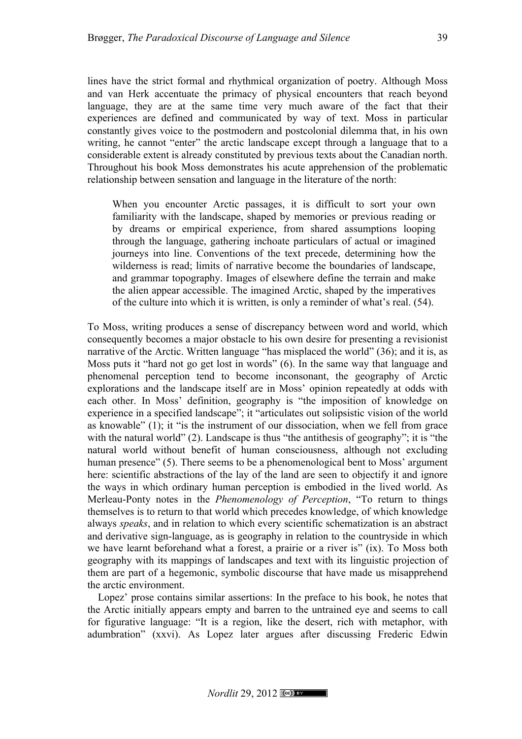lines have the strict formal and rhythmical organization of poetry. Although Moss and van Herk accentuate the primacy of physical encounters that reach beyond language, they are at the same time very much aware of the fact that their experiences are defined and communicated by way of text. Moss in particular constantly gives voice to the postmodern and postcolonial dilemma that, in his own writing, he cannot "enter" the arctic landscape except through a language that to a considerable extent is already constituted by previous texts about the Canadian north. Throughout his book Moss demonstrates his acute apprehension of the problematic relationship between sensation and language in the literature of the north:

When you encounter Arctic passages, it is difficult to sort your own familiarity with the landscape, shaped by memories or previous reading or by dreams or empirical experience, from shared assumptions looping through the language, gathering inchoate particulars of actual or imagined journeys into line. Conventions of the text precede, determining how the wilderness is read; limits of narrative become the boundaries of landscape, and grammar topography. Images of elsewhere define the terrain and make the alien appear accessible. The imagined Arctic, shaped by the imperatives of the culture into which it is written, is only a reminder of what's real. (54).

To Moss, writing produces a sense of discrepancy between word and world, which consequently becomes a major obstacle to his own desire for presenting a revisionist narrative of the Arctic. Written language "has misplaced the world" (36); and it is, as Moss puts it "hard not go get lost in words" (6). In the same way that language and phenomenal perception tend to become inconsonant, the geography of Arctic explorations and the landscape itself are in Moss' opinion repeatedly at odds with each other. In Moss' definition, geography is "the imposition of knowledge on experience in a specified landscape"; it "articulates out solipsistic vision of the world as knowable" (1); it "is the instrument of our dissociation, when we fell from grace with the natural world" (2). Landscape is thus "the antithesis of geography"; it is "the natural world without benefit of human consciousness, although not excluding human presence" (5). There seems to be a phenomenological bent to Moss' argument here: scientific abstractions of the lay of the land are seen to objectify it and ignore the ways in which ordinary human perception is embodied in the lived world. As Merleau-Ponty notes in the *Phenomenology of Perception*, "To return to things themselves is to return to that world which precedes knowledge, of which knowledge always *speaks*, and in relation to which every scientific schematization is an abstract and derivative sign-language, as is geography in relation to the countryside in which we have learnt beforehand what a forest, a prairie or a river is" (ix). To Moss both geography with its mappings of landscapes and text with its linguistic projection of them are part of a hegemonic, symbolic discourse that have made us misapprehend the arctic environment.

Lopez' prose contains similar assertions: In the preface to his book, he notes that the Arctic initially appears empty and barren to the untrained eye and seems to call for figurative language: "It is a region, like the desert, rich with metaphor, with adumbration" (xxvi). As Lopez later argues after discussing Frederic Edwin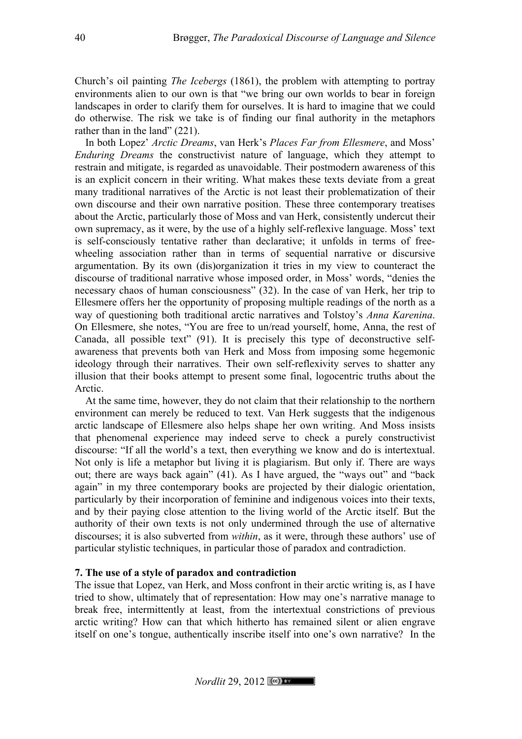Church's oil painting *The Icebergs* (1861), the problem with attempting to portray environments alien to our own is that "we bring our own worlds to bear in foreign landscapes in order to clarify them for ourselves. It is hard to imagine that we could do otherwise. The risk we take is of finding our final authority in the metaphors rather than in the land" (221).

In both Lopez' *Arctic Dreams*, van Herk's *Places Far from Ellesmere*, and Moss' *Enduring Dreams* the constructivist nature of language, which they attempt to restrain and mitigate, is regarded as unavoidable. Their postmodern awareness of this is an explicit concern in their writing. What makes these texts deviate from a great many traditional narratives of the Arctic is not least their problematization of their own discourse and their own narrative position. These three contemporary treatises about the Arctic, particularly those of Moss and van Herk, consistently undercut their own supremacy, as it were, by the use of a highly self-reflexive language. Moss' text is self-consciously tentative rather than declarative; it unfolds in terms of freewheeling association rather than in terms of sequential narrative or discursive argumentation. By its own (dis)organization it tries in my view to counteract the discourse of traditional narrative whose imposed order, in Moss' words, "denies the necessary chaos of human consciousness" (32). In the case of van Herk, her trip to Ellesmere offers her the opportunity of proposing multiple readings of the north as a way of questioning both traditional arctic narratives and Tolstoy's *Anna Karenina*. On Ellesmere, she notes, "You are free to un/read yourself, home, Anna, the rest of Canada, all possible text" (91). It is precisely this type of deconstructive selfawareness that prevents both van Herk and Moss from imposing some hegemonic ideology through their narratives. Their own self-reflexivity serves to shatter any illusion that their books attempt to present some final, logocentric truths about the Arctic.

At the same time, however, they do not claim that their relationship to the northern environment can merely be reduced to text. Van Herk suggests that the indigenous arctic landscape of Ellesmere also helps shape her own writing. And Moss insists that phenomenal experience may indeed serve to check a purely constructivist discourse: "If all the world's a text, then everything we know and do is intertextual. Not only is life a metaphor but living it is plagiarism. But only if. There are ways out; there are ways back again" (41). As I have argued, the "ways out" and "back again" in my three contemporary books are projected by their dialogic orientation, particularly by their incorporation of feminine and indigenous voices into their texts, and by their paying close attention to the living world of the Arctic itself. But the authority of their own texts is not only undermined through the use of alternative discourses; it is also subverted from *within*, as it were, through these authors' use of particular stylistic techniques, in particular those of paradox and contradiction.

#### **7. The use of a style of paradox and contradiction**

The issue that Lopez, van Herk, and Moss confront in their arctic writing is, as I have tried to show, ultimately that of representation: How may one's narrative manage to break free, intermittently at least, from the intertextual constrictions of previous arctic writing? How can that which hitherto has remained silent or alien engrave itself on one's tongue, authentically inscribe itself into one's own narrative? In the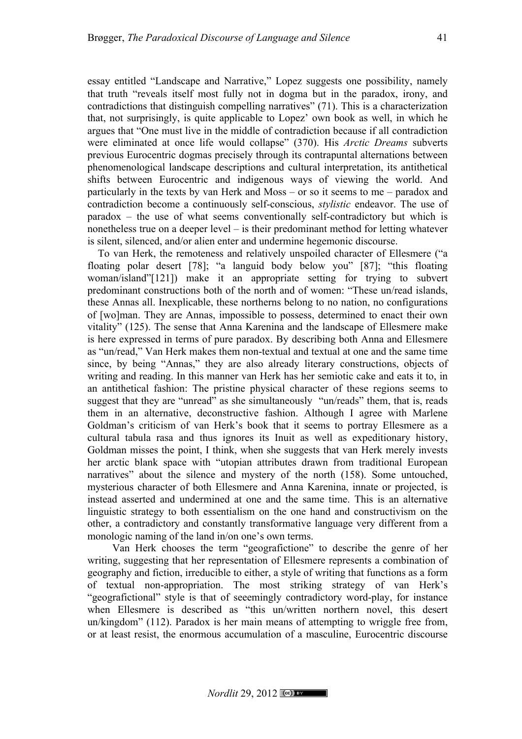essay entitled "Landscape and Narrative," Lopez suggests one possibility, namely that truth "reveals itself most fully not in dogma but in the paradox, irony, and contradictions that distinguish compelling narratives" (71). This is a characterization that, not surprisingly, is quite applicable to Lopez' own book as well, in which he argues that "One must live in the middle of contradiction because if all contradiction were eliminated at once life would collapse" (370). His *Arctic Dreams* subverts previous Eurocentric dogmas precisely through its contrapuntal alternations between phenomenological landscape descriptions and cultural interpretation, its antithetical shifts between Eurocentric and indigenous ways of viewing the world. And particularly in the texts by van Herk and Moss – or so it seems to me – paradox and contradiction become a continuously self-conscious, *stylistic* endeavor. The use of paradox – the use of what seems conventionally self-contradictory but which is nonetheless true on a deeper level – is their predominant method for letting whatever is silent, silenced, and/or alien enter and undermine hegemonic discourse.

To van Herk, the remoteness and relatively unspoiled character of Ellesmere ("a floating polar desert [78]; "a languid body below you" [87]; "this floating woman/island"[121]) make it an appropriate setting for trying to subvert predominant constructions both of the north and of women: "These un/read islands, these Annas all. Inexplicable, these northerns belong to no nation, no configurations of [wo]man. They are Annas, impossible to possess, determined to enact their own vitality" (125). The sense that Anna Karenina and the landscape of Ellesmere make is here expressed in terms of pure paradox. By describing both Anna and Ellesmere as "un/read," Van Herk makes them non-textual and textual at one and the same time since, by being "Annas," they are also already literary constructions, objects of writing and reading. In this manner van Herk has her semiotic cake and eats it to, in an antithetical fashion: The pristine physical character of these regions seems to suggest that they are "unread" as she simultaneously "un/reads" them, that is, reads them in an alternative, deconstructive fashion. Although I agree with Marlene Goldman's criticism of van Herk's book that it seems to portray Ellesmere as a cultural tabula rasa and thus ignores its Inuit as well as expeditionary history, Goldman misses the point, I think, when she suggests that van Herk merely invests her arctic blank space with "utopian attributes drawn from traditional European narratives" about the silence and mystery of the north (158). Some untouched, mysterious character of both Ellesmere and Anna Karenina, innate or projected, is instead asserted and undermined at one and the same time. This is an alternative linguistic strategy to both essentialism on the one hand and constructivism on the other, a contradictory and constantly transformative language very different from a monologic naming of the land in/on one's own terms.

Van Herk chooses the term "geografictione" to describe the genre of her writing, suggesting that her representation of Ellesmere represents a combination of geography and fiction, irreducible to either, a style of writing that functions as a form of textual non-appropriation. The most striking strategy of van Herk's "geografictional" style is that of seeemingly contradictory word-play, for instance when Ellesmere is described as "this un/written northern novel, this desert un/kingdom" (112). Paradox is her main means of attempting to wriggle free from, or at least resist, the enormous accumulation of a masculine, Eurocentric discourse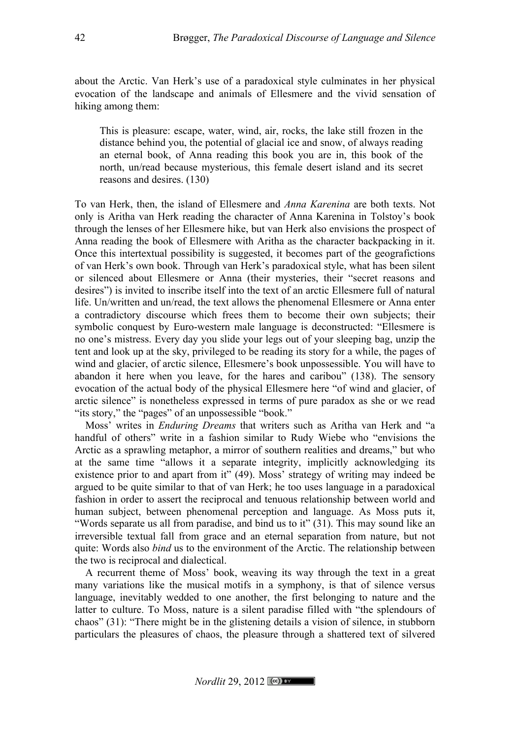about the Arctic. Van Herk's use of a paradoxical style culminates in her physical evocation of the landscape and animals of Ellesmere and the vivid sensation of hiking among them:

This is pleasure: escape, water, wind, air, rocks, the lake still frozen in the distance behind you, the potential of glacial ice and snow, of always reading an eternal book, of Anna reading this book you are in, this book of the north, un/read because mysterious, this female desert island and its secret reasons and desires. (130)

To van Herk, then, the island of Ellesmere and *Anna Karenina* are both texts. Not only is Aritha van Herk reading the character of Anna Karenina in Tolstoy's book through the lenses of her Ellesmere hike, but van Herk also envisions the prospect of Anna reading the book of Ellesmere with Aritha as the character backpacking in it. Once this intertextual possibility is suggested, it becomes part of the geografictions of van Herk's own book. Through van Herk's paradoxical style, what has been silent or silenced about Ellesmere or Anna (their mysteries, their "secret reasons and desires") is invited to inscribe itself into the text of an arctic Ellesmere full of natural life. Un/written and un/read, the text allows the phenomenal Ellesmere or Anna enter a contradictory discourse which frees them to become their own subjects; their symbolic conquest by Euro-western male language is deconstructed: "Ellesmere is no one's mistress. Every day you slide your legs out of your sleeping bag, unzip the tent and look up at the sky, privileged to be reading its story for a while, the pages of wind and glacier, of arctic silence, Ellesmere's book unpossessible. You will have to abandon it here when you leave, for the hares and caribou" (138). The sensory evocation of the actual body of the physical Ellesmere here "of wind and glacier, of arctic silence" is nonetheless expressed in terms of pure paradox as she or we read "its story," the "pages" of an unpossessible "book."

Moss' writes in *Enduring Dreams* that writers such as Aritha van Herk and "a handful of others" write in a fashion similar to Rudy Wiebe who "envisions the Arctic as a sprawling metaphor, a mirror of southern realities and dreams," but who at the same time "allows it a separate integrity, implicitly acknowledging its existence prior to and apart from it" (49). Moss' strategy of writing may indeed be argued to be quite similar to that of van Herk; he too uses language in a paradoxical fashion in order to assert the reciprocal and tenuous relationship between world and human subject, between phenomenal perception and language. As Moss puts it, "Words separate us all from paradise, and bind us to it" (31). This may sound like an irreversible textual fall from grace and an eternal separation from nature, but not quite: Words also *bind* us to the environment of the Arctic. The relationship between the two is reciprocal and dialectical.

A recurrent theme of Moss' book, weaving its way through the text in a great many variations like the musical motifs in a symphony, is that of silence versus language, inevitably wedded to one another, the first belonging to nature and the latter to culture. To Moss, nature is a silent paradise filled with "the splendours of chaos" (31): "There might be in the glistening details a vision of silence, in stubborn particulars the pleasures of chaos, the pleasure through a shattered text of silvered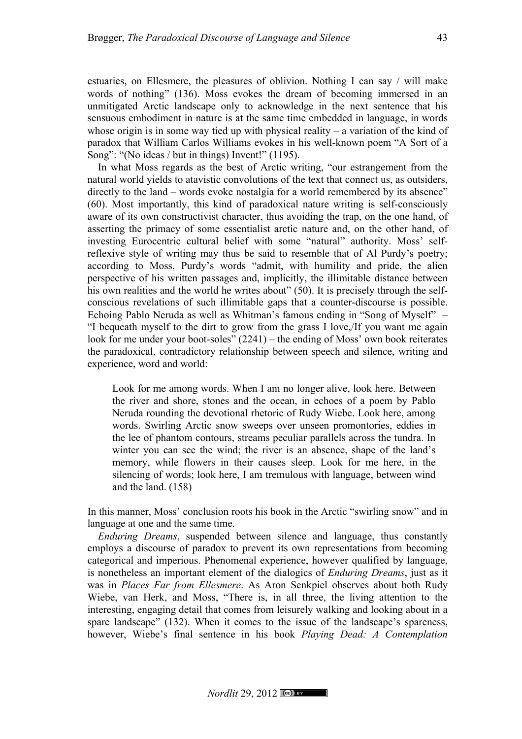estuaries, on Ellesmere, the pleasures of oblivion. Nothing I can say / will make words of nothing" (136). Moss evokes the dream of becoming immersed in an unmitigated Arctic landscape only to acknowledge in the next sentence that his sensuous embodiment in nature is at the same time embedded in language, in words whose origin is in some way tied up with physical reality – a variation of the kind of paradox that William Carlos Williams evokes in his well-known poem "A Sort of a Song": "(No ideas / but in things) Invent!" (1195).

In what Moss regards as the best of Arctic writing, "our estrangement from the natural world yields to atavistic convolutions of the text that connect us, as outsiders, directly to the land – words evoke nostalgia for a world remembered by its absence" (60). Most importantly, this kind of paradoxical nature writing is self-consciously aware of its own constructivist character, thus avoiding the trap, on the one hand, of asserting the primacy of some essentialist arctic nature and, on the other hand, of investing Eurocentric cultural belief with some "natural" authority. Moss' selfreflexive style of writing may thus be said to resemble that of Al Purdy's poetry; according to Moss, Purdy's words "admit, with humility and pride, the alien perspective of his written passages and, implicitly, the illimitable distance between his own realities and the world he writes about" (50). It is precisely through the selfconscious revelations of such illimitable gaps that a counter-discourse is possible. Echoing Pablo Neruda as well as Whitman's famous ending in "Song of Myself" – "I bequeath myself to the dirt to grow from the grass I love,/If you want me again look for me under your boot-soles" (2241) – the ending of Moss' own book reiterates the paradoxical, contradictory relationship between speech and silence, writing and experience, word and world:

Look for me among words. When I am no longer alive, look here. Between the river and shore, stones and the ocean, in echoes of a poem by Pablo Neruda rounding the devotional rhetoric of Rudy Wiebe. Look here, among words. Swirling Arctic snow sweeps over unseen promontories, eddies in the lee of phantom contours, streams peculiar parallels across the tundra. In winter you can see the wind; the river is an absence, shape of the land's memory, while flowers in their causes sleep. Look for me here, in the silencing of words; look here, I am tremulous with language, between wind and the land. (158)

In this manner, Moss' conclusion roots his book in the Arctic "swirling snow" and in language at one and the same time.

*Enduring Dreams*, suspended between silence and language, thus constantly employs a discourse of paradox to prevent its own representations from becoming categorical and imperious. Phenomenal experience, however qualified by language, is nonetheless an important element of the dialogics of *Enduring Dreams*, just as it was in *Places Far from Ellesmere*. As Aron Senkpiel observes about both Rudy Wiebe, van Herk, and Moss, "There is, in all three, the living attention to the interesting, engaging detail that comes from leisurely walking and looking about in a spare landscape" (132). When it comes to the issue of the landscape's spareness, however, Wiebe's final sentence in his book *Playing Dead: A Contemplation*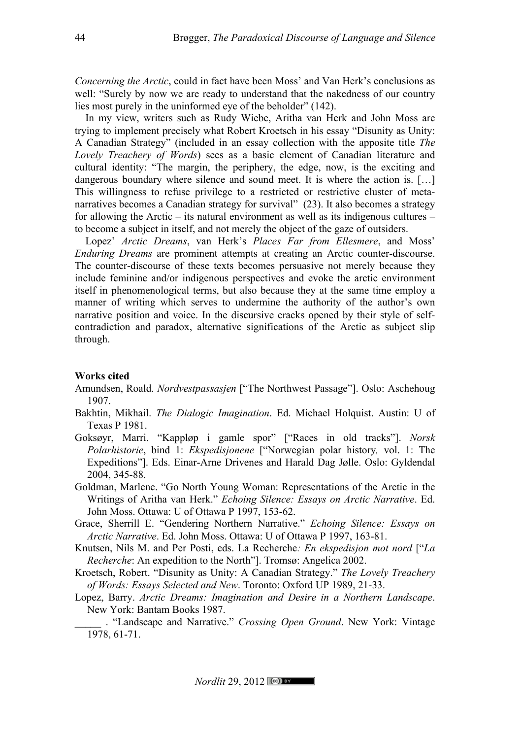*Concerning the Arctic*, could in fact have been Moss' and Van Herk's conclusions as well: "Surely by now we are ready to understand that the nakedness of our country lies most purely in the uninformed eye of the beholder" (142).

In my view, writers such as Rudy Wiebe, Aritha van Herk and John Moss are trying to implement precisely what Robert Kroetsch in his essay "Disunity as Unity: A Canadian Strategy" (included in an essay collection with the apposite title *The Lovely Treachery of Words*) sees as a basic element of Canadian literature and cultural identity: "The margin, the periphery, the edge, now, is the exciting and dangerous boundary where silence and sound meet. It is where the action is. [...] This willingness to refuse privilege to a restricted or restrictive cluster of metanarratives becomes a Canadian strategy for survival" (23). It also becomes a strategy for allowing the Arctic – its natural environment as well as its indigenous cultures – to become a subject in itself, and not merely the object of the gaze of outsiders.

Lopez' *Arctic Dreams*, van Herk's *Places Far from Ellesmere*, and Moss' *Enduring Dreams* are prominent attempts at creating an Arctic counter-discourse. The counter-discourse of these texts becomes persuasive not merely because they include feminine and/or indigenous perspectives and evoke the arctic environment itself in phenomenological terms, but also because they at the same time employ a manner of writing which serves to undermine the authority of the author's own narrative position and voice. In the discursive cracks opened by their style of selfcontradiction and paradox, alternative significations of the Arctic as subject slip through.

### **Works cited**

- Amundsen, Roald. *Nordvestpassasjen* ["The Northwest Passage"]. Oslo: Aschehoug 1907.
- Bakhtin, Mikhail. *The Dialogic Imagination*. Ed. Michael Holquist. Austin: U of Texas P 1981.
- Goksøyr, Marri. "Kappløp i gamle spor" ["Races in old tracks"]. *Norsk Polarhistorie*, bind 1: *Ekspedisjonene* ["Norwegian polar history*,* vol. 1: The Expeditions"]. Eds. Einar-Arne Drivenes and Harald Dag Jølle. Oslo: Gyldendal 2004, 345-88.
- Goldman, Marlene. "Go North Young Woman: Representations of the Arctic in the Writings of Aritha van Herk." *Echoing Silence: Essays on Arctic Narrative*. Ed. John Moss. Ottawa: U of Ottawa P 1997, 153-62.
- Grace, Sherrill E. "Gendering Northern Narrative." *Echoing Silence: Essays on Arctic Narrative*. Ed. John Moss. Ottawa: U of Ottawa P 1997, 163-81.
- Knutsen, Nils M. and Per Posti, eds. La Recherche*: En ekspedisjon mot nord* ["*La Recherche*: An expedition to the North"]. Tromsø: Angelica 2002.
- Kroetsch, Robert. "Disunity as Unity: A Canadian Strategy." *The Lovely Treachery of Words: Essays Selected and New*. Toronto: Oxford UP 1989, 21-33.
- Lopez, Barry. *Arctic Dreams: Imagination and Desire in a Northern Landscape*. New York: Bantam Books 1987.

\_\_\_\_\_ . "Landscape and Narrative." *Crossing Open Ground*. New York: Vintage 1978, 61-71.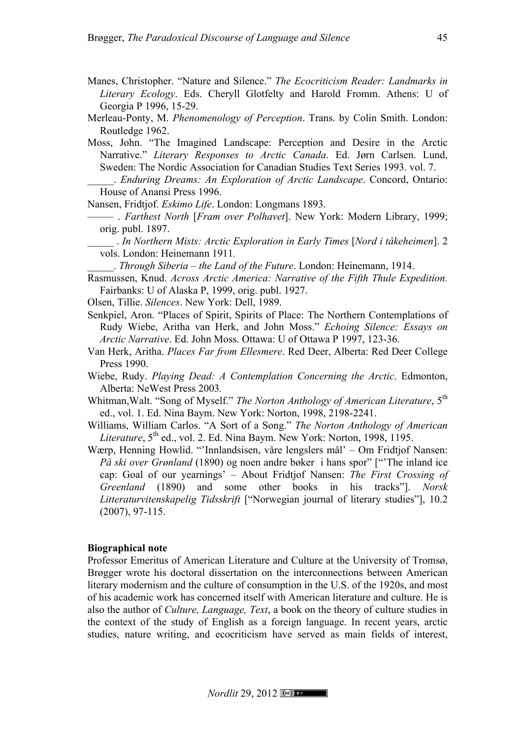- Manes, Christopher. "Nature and Silence." *The Ecocriticism Reader: Landmarks in Literary Ecology*. Eds. Cheryll Glotfelty and Harold Fromm. Athens: U of Georgia P 1996, 15-29.
- Merleau-Ponty, M. *Phenomenology of Perception*. Trans. by Colin Smith. London: Routledge 1962.
- Moss, John. "The Imagined Landscape: Perception and Desire in the Arctic Narrative." *Literary Responses to Arctic Canada*. Ed. Jørn Carlsen. Lund, Sweden: The Nordic Association for Canadian Studies Text Series 1993. vol. 7.

\_\_\_\_\_. *Enduring Dreams: An Exploration of Arctic Landscape*. Concord, Ontario: House of Anansi Press 1996.

Nansen, Fridtjof. *Eskimo Life*. London: Longmans 1893.

- ––––– . *Farthest North* [*Fram over Polhavet*]. New York: Modern Library, 1999; orig. publ. 1897.
	- \_\_\_\_\_ . *In Northern Mists: Arctic Exploration in Early Times* [*Nord i tåkeheimen*]. 2 vols. London: Heinemann 1911*.*

\_\_\_\_\_. *Through Siberia – the Land of the Future*. London: Heinemann, 1914.

- Rasmussen, Knud. *Across Arctic America: Narrative of the Fifth Thule Expedition.* Fairbanks: U of Alaska P, 1999, orig. publ. 1927.
- Olsen, Tillie. *Silences*. New York: Dell, 1989.
- Senkpiel, Aron. "Places of Spirit, Spirits of Place: The Northern Contemplations of Rudy Wiebe, Aritha van Herk, and John Moss." *Echoing Silence: Essays on Arctic Narrative*. Ed. John Moss. Ottawa: U of Ottawa P 1997, 123-36.
- Van Herk, Aritha. *Places Far from Ellesmere*. Red Deer, Alberta: Red Deer College Press 1990.
- Wiebe, Rudy. *Playing Dead: A Contemplation Concerning the Arctic*. Edmonton, Alberta: NeWest Press 2003*.*
- Whitman, Walt. "Song of Myself." *The Norton Anthology of American Literature*, 5<sup>th</sup> ed., vol. 1. Ed. Nina Baym. New York: Norton, 1998, 2198-2241.
- Williams, William Carlos. "A Sort of a Song." *The Norton Anthology of American Literature*, 5<sup>th</sup> ed., vol. 2. Ed. Nina Baym. New York: Norton, 1998, 1195.
- Wærp, Henning Howlid. "'Innlandsisen, våre lengslers mål' Om Fridtjof Nansen: *På ski over Grønland* (1890) og noen andre bøker i hans spor" ["'The inland ice cap: Goal of our yearnings' – About Fridtjof Nansen: *The First Crossing of Greenland* (1890) and some other books in his tracks"]. *Norsk Litteraturvitenskapelig Tidsskrift* ["Norwegian journal of literary studies"], 10.2 (2007), 97-115.

#### **Biographical note**

Professor Emeritus of American Literature and Culture at the University of Tromsø, Brøgger wrote his doctoral dissertation on the interconnections between American literary modernism and the culture of consumption in the U.S. of the 1920s, and most of his academic work has concerned itself with American literature and culture. He is also the author of *Culture, Language, Text*, a book on the theory of culture studies in the context of the study of English as a foreign language. In recent years, arctic studies, nature writing, and ecocriticism have served as main fields of interest,